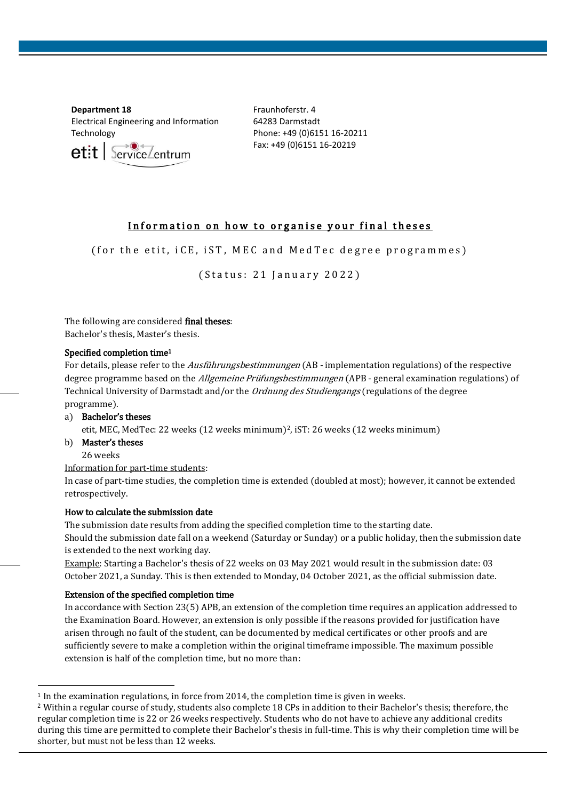**Department 18** Electrical Engineering and Information Technology

 $et:$   $\sqrt{\frac{1}{2}}$ 

Fraunhoferstr. 4 64283 Darmstadt Phone: +49 (0)6151 16-20211 Fax: +49 (0)6151 16-20219

# Information on how to organise your final theses

( for the etit,  $iCE$ ,  $iST$ , MEC and MedTec degree programmes)

(Status: 21 January 2022)

The following are considered final theses: Bachelor's thesis, Master's thesis.

### Specified completion time<sup>1</sup>

For details, please refer to the *Ausführungsbestimmungen* (AB - implementation regulations) of the respective degree programme based on the *Allgemeine Prüfungsbestimmungen* (APB - general examination regulations) of Technical University of Darmstadt and/or the Ordnung des Studiengangs (regulations of the degree programme).

- a) Bachelor's theses etit, MEC, MedTec: 22 weeks (12 weeks minimum)2, iST: 26 weeks (12 weeks minimum)
- b) Master's theses

26 weeks

1

Information for part-time students:

In case of part-time studies, the completion time is extended (doubled at most); however, it cannot be extended retrospectively.

# How to calculate the submission date

The submission date results from adding the specified completion time to the starting date. Should the submission date fall on a weekend (Saturday or Sunday) or a public holiday, then the submission date is extended to the next working day.

Example: Starting a Bachelor's thesis of 22 weeks on 03 May 2021 would result in the submission date: 03 October 2021, a Sunday. This is then extended to Monday, 04 October 2021, as the official submission date.

# Extension of the specified completion time

In accordance with Section 23(5) APB, an extension of the completion time requires an application addressed to the Examination Board. However, an extension is only possible if the reasons provided for justification have arisen through no fault of the student, can be documented by medical certificates or other proofs and are sufficiently severe to make a completion within the original timeframe impossible. The maximum possible extension is half of the completion time, but no more than:

 $1$  In the examination regulations, in force from 2014, the completion time is given in weeks.

<sup>&</sup>lt;sup>2</sup> Within a regular course of study, students also complete 18 CPs in addition to their Bachelor's thesis; therefore, the regular completion time is 22 or 26 weeks respectively. Students who do not have to achieve any additional credits during this time are permitted to complete their Bachelor's thesis in full-time. This is why their completion time will be shorter, but must not be less than 12 weeks.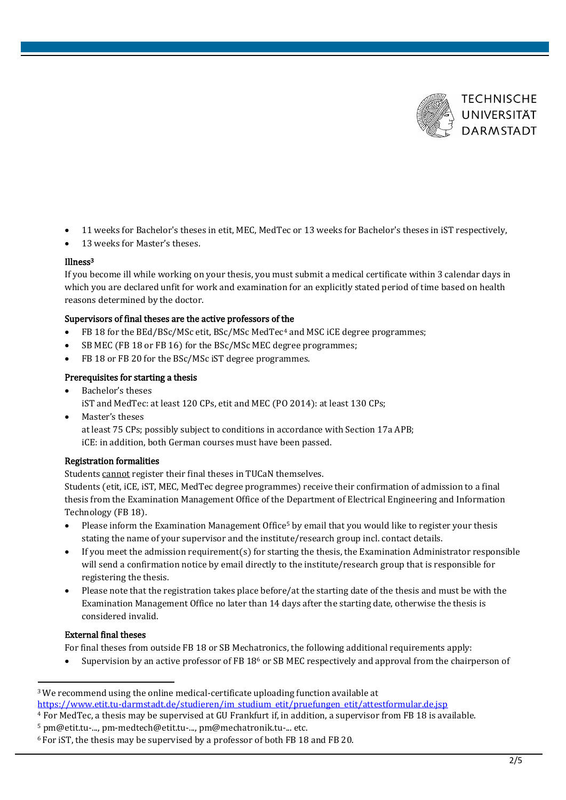

- 11 weeks for Bachelor's theses in etit, MEC, MedTec or 13 weeks for Bachelor's theses in iST respectively,
- 13 weeks for Master's theses.

# Illness<sup>3</sup>

If you become ill while working on your thesis, you must submit a medical certificate within 3 calendar days in which you are declared unfit for work and examination for an explicitly stated period of time based on health reasons determined by the doctor.

# Supervisors of final theses are the active professors of the

- FB 18 for the BEd/BSc/MSc etit, BSc/MSc MedTec<sup>4</sup> and MSC iCE degree programmes;
- SB MEC (FB 18 or FB 16) for the BSc/MSc MEC degree programmes;
- FB 18 or FB 20 for the BSc/MSc iST degree programmes.

# Prerequisites for starting a thesis

- Bachelor's theses iST and MedTec: at least 120 CPs, etit and MEC (PO 2014): at least 130 CPs; • Master's theses
	- at least 75 CPs; possibly subject to conditions in accordance with Section 17a APB; iCE: in addition, both German courses must have been passed.

# Registration formalities

Students cannot register their final theses in TUCaN themselves.

Students (etit, iCE, iST, MEC, MedTec degree programmes) receive their confirmation of admission to a final thesis from the Examination Management Office of the Department of Electrical Engineering and Information Technology (FB 18).

- Please inform the Examination Management Office<sup>5</sup> by email that you would like to register your thesis stating the name of your supervisor and the institute/research group incl. contact details.
- If you meet the admission requirement(s) for starting the thesis, the Examination Administrator responsible will send a confirmation notice by email directly to the institute/research group that is responsible for registering the thesis.
- Please note that the registration takes place before/at the starting date of the thesis and must be with the Examination Management Office no later than 14 days after the starting date, otherwise the thesis is considered invalid.

# External final theses

1

For final theses from outside FB 18 or SB Mechatronics, the following additional requirements apply:

• Supervision by an active professor of FB 18<sup>6</sup> or SB MEC respectively and approval from the chairperson of

<sup>3</sup>We recommend using the online medical-certificate uploading function available at [https://www.etit.tu-darmstadt.de/studieren/im\\_studium\\_etit/pruefungen\\_etit/attestformular.de.jsp](https://www.etit.tu-darmstadt.de/studieren/im_studium_etit/pruefungen_etit/attestformular.de.jsp)

<sup>4</sup> For MedTec, a thesis may be supervised at GU Frankfurt if, in addition, a supervisor from FB 18 is available.

<sup>5</sup> pm@etit.tu-..., pm-medtech@etit.tu-..., pm@mechatronik.tu-... etc.

<sup>6</sup> For iST, the thesis may be supervised by a professor of both FB 18 and FB 20.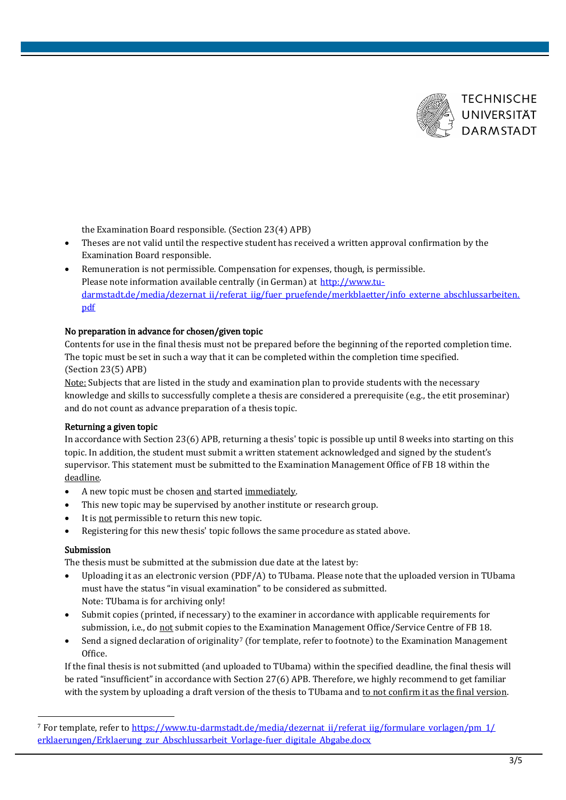

the Examination Board responsible. (Section 23(4) APB)

- Theses are not valid until the respective student has received a written approval confirmation by the Examination Board responsible.
- Remuneration is not permissible. Compensation for expenses, though, is permissible. Please note information available centrally (in German) at [http://www.tu](https://www.tu-darmstadt.de/media/dezernat_ii/referat_iig/fuer_pruefende/merkblaetter/info_externe_abschlussarbeiten.pdf)[darmstadt.de/media/dezernat\\_ii/referat\\_iig/fuer\\_pruefende/merkblaetter/info\\_externe\\_abschlussarbeiten.](https://www.tu-darmstadt.de/media/dezernat_ii/referat_iig/fuer_pruefende/merkblaetter/info_externe_abschlussarbeiten.pdf) [pdf](https://www.tu-darmstadt.de/media/dezernat_ii/referat_iig/fuer_pruefende/merkblaetter/info_externe_abschlussarbeiten.pdf)

# No preparation in advance for chosen/given topic

Contents for use in the final thesis must not be prepared before the beginning of the reported completion time. The topic must be set in such a way that it can be completed within the completion time specified. (Section 23(5) APB)

Note: Subjects that are listed in the study and examination plan to provide students with the necessary knowledge and skills to successfully complete a thesis are considered a prerequisite (e.g., the etit proseminar) and do not count as advance preparation of a thesis topic.

#### Returning a given topic

In accordance with Section 23(6) APB, returning a thesis' topic is possible up until 8 weeks into starting on this topic. In addition, the student must submit a written statement acknowledged and signed by the student's supervisor. This statement must be submitted to the Examination Management Office of FB 18 within the deadline.

- A new topic must be chosen and started immediately.
- This new topic may be supervised by another institute or research group.
- It is not permissible to return this new topic.
- Registering for this new thesis' topic follows the same procedure as stated above.

# Submission

1

The thesis must be submitted at the submission due date at the latest by:

- Uploading it as an electronic version (PDF/A) to TUbama. Please note that the uploaded version in TUbama must have the status "in visual examination" to be considered as submitted. Note: TUbama is for archiving only!
- Submit copies (printed, if necessary) to the examiner in accordance with applicable requirements for submission, i.e., do not submit copies to the Examination Management Office/Service Centre of FB 18.
- Send a signed declaration of originality<sup>7</sup> (for template, refer to footnote) to the Examination Management Office.

If the final thesis is not submitted (and uploaded to TUbama) within the specified deadline, the final thesis will be rated "insufficient" in accordance with Section 27(6) APB. Therefore, we highly recommend to get familiar with the system by uploading a draft version of the thesis to TUbama and to not confirm it as the final version.

<sup>7</sup> For template, refer to [https://www.tu-darmstadt.de/media/dezernat\\_ii/referat\\_iig/formulare\\_vorlagen/pm\\_1/](https://www.tu-darmstadt.de/media/dezernat_ii/referat_iig/formulare_vorlagen/pm_1/erklaerungen/Erklaerung_zur_Abschlussarbeit_Vorlage-fuer_digitale_Abgabe.docx) erklaerungen/Erklaerung zur Abschlussarbeit Vorlage-fuer digitale Abgabe.docx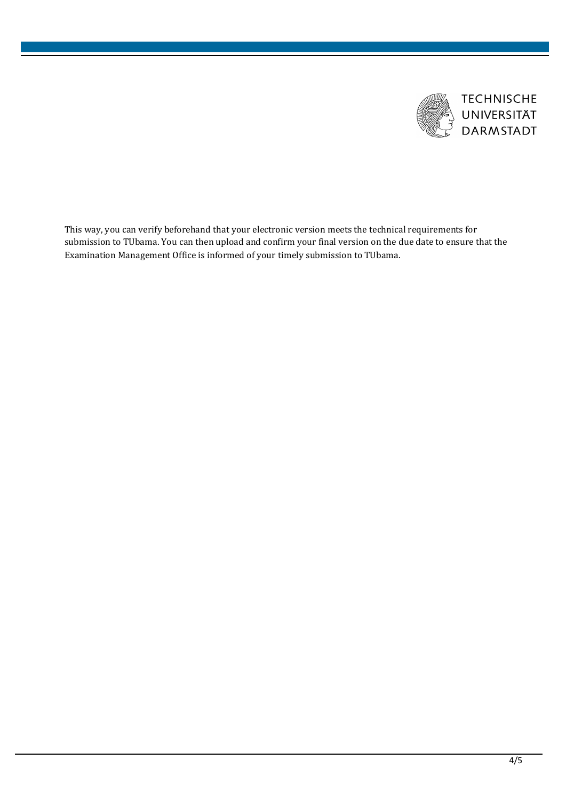

**TECHNISCHE** UNIVERSITÄT **DARMSTADT** 

This way, you can verify beforehand that your electronic version meets the technical requirements for submission to TUbama. You can then upload and confirm your final version on the due date to ensure that the Examination Management Office is informed of your timely submission to TUbama.